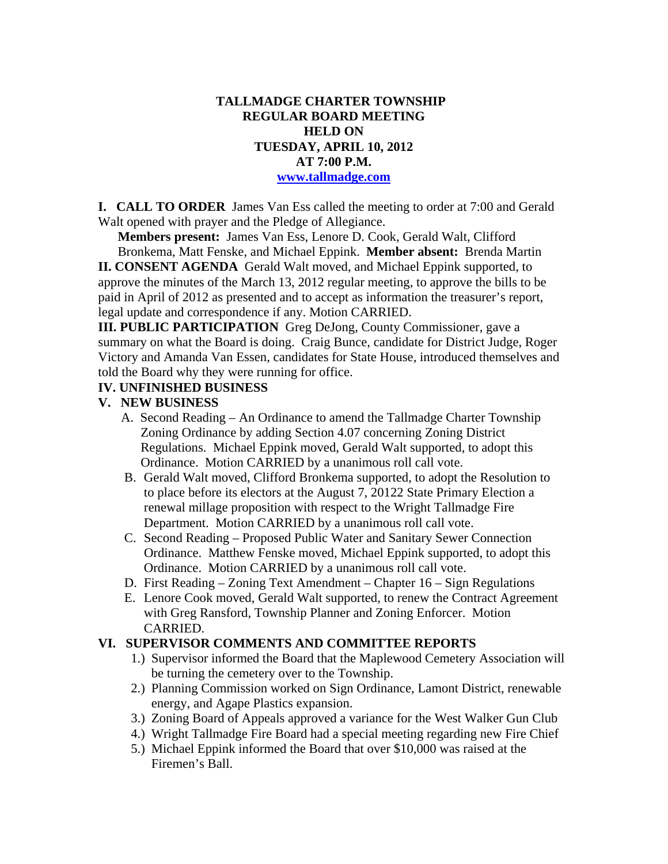## **TALLMADGE CHARTER TOWNSHIP REGULAR BOARD MEETING HELD ON TUESDAY, APRIL 10, 2012 AT 7:00 P.M. www.tallmadge.com**

**I. CALL TO ORDER** James Van Ess called the meeting to order at 7:00 and Gerald Walt opened with prayer and the Pledge of Allegiance.

**Members present:** James Van Ess, Lenore D. Cook, Gerald Walt, Clifford Bronkema, Matt Fenske, and Michael Eppink. **Member absent:** Brenda Martin

**II. CONSENT AGENDA** Gerald Walt moved, and Michael Eppink supported, to approve the minutes of the March 13, 2012 regular meeting, to approve the bills to be paid in April of 2012 as presented and to accept as information the treasurer's report, legal update and correspondence if any. Motion CARRIED.

**III. PUBLIC PARTICIPATION** Greg DeJong, County Commissioner, gave a summary on what the Board is doing. Craig Bunce, candidate for District Judge, Roger Victory and Amanda Van Essen, candidates for State House, introduced themselves and told the Board why they were running for office.

# **IV. UNFINISHED BUSINESS**

## **V. NEW BUSINESS**

- A. Second Reading An Ordinance to amend the Tallmadge Charter Township Zoning Ordinance by adding Section 4.07 concerning Zoning District Regulations. Michael Eppink moved, Gerald Walt supported, to adopt this Ordinance. Motion CARRIED by a unanimous roll call vote.
- B. Gerald Walt moved, Clifford Bronkema supported, to adopt the Resolution to to place before its electors at the August 7, 20122 State Primary Election a renewal millage proposition with respect to the Wright Tallmadge Fire Department. Motion CARRIED by a unanimous roll call vote.
- C. Second Reading Proposed Public Water and Sanitary Sewer Connection Ordinance. Matthew Fenske moved, Michael Eppink supported, to adopt this Ordinance. Motion CARRIED by a unanimous roll call vote.
- D. First Reading Zoning Text Amendment Chapter 16 Sign Regulations
- E. Lenore Cook moved, Gerald Walt supported, to renew the Contract Agreement with Greg Ransford, Township Planner and Zoning Enforcer. Motion CARRIED.

#### **VI. SUPERVISOR COMMENTS AND COMMITTEE REPORTS**

- 1.) Supervisor informed the Board that the Maplewood Cemetery Association will be turning the cemetery over to the Township.
- 2.) Planning Commission worked on Sign Ordinance, Lamont District, renewable energy, and Agape Plastics expansion.
- 3.) Zoning Board of Appeals approved a variance for the West Walker Gun Club
- 4.) Wright Tallmadge Fire Board had a special meeting regarding new Fire Chief
- 5.) Michael Eppink informed the Board that over \$10,000 was raised at the Firemen's Ball.